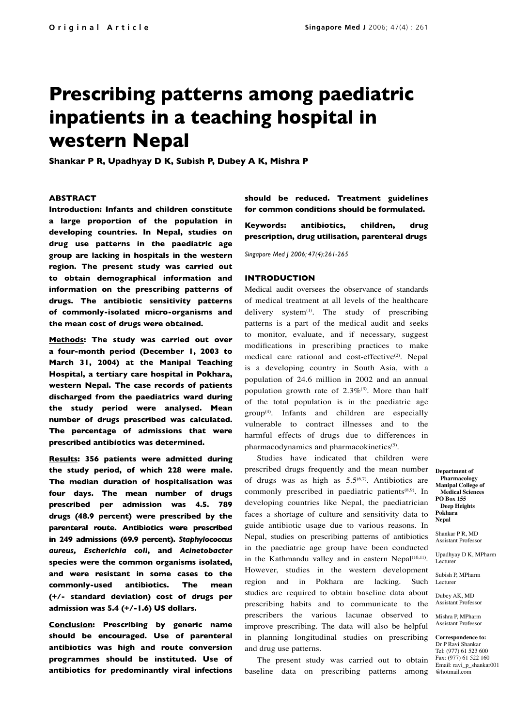# **Prescribing patterns among paediatric inpatients in a teaching hospital in western Nepal**

**Shankar P R, Upadhyay D K, Subish P, Dubey A K, Mishra P**

#### **ABSTRACT**

**Introduction: Infants and children constitute a large proportion of the population in developing countries. In Nepal, studies on drug use patterns in the paediatric age group are lacking in hospitals in the western region. The present study was carried out to obtain demographical information and information on the prescribing patterns of drugs. The antibiotic sensitivity patterns of commonly-isolated micro-organisms and the mean cost of drugs were obtained.** 

**Methods: The study was carried out over a four-month period (December 1, 2003 to March 31, 2004) at the Manipal Teaching Hospital, a tertiary care hospital in Pokhara, western Nepal. The case records of patients discharged from the paediatrics ward during the study period were analysed. Mean number of drugs prescribed was calculated. The percentage of admissions that were prescribed antibiotics was determined.** 

**Results: 356 patients were admitted during the study period, of which 228 were male. The median duration of hospitalisation was four days. The mean number of drugs prescribed per admission was 4.5. 789 drugs (48.9 percent) were prescribed by the parenteral route. Antibiotics were prescribed in 249 admissions (69.9 percent).** *Staphylococcus aureus, Escherichia coli***, and** *Acinetobacter* **species were the common organisms isolated, and were resistant in some cases to the commonly-used antibiotics. The mean (+/- standard deviation) cost of drugs per admission was 5.4 (+/-1.6) US dollars.** 

**Conclusion: Prescribing by generic name should be encouraged. Use of parenteral antibiotics was high and route conversion programmes should be instituted. Use of antibiotics for predominantly viral infections** **should be reduced. Treatment guidelines for common conditions should be formulated.**

**Keywords: antibiotics, children, drug prescription, drug utilisation, parenteral drugs**

*Singapore Med J 2006; 47(4):261-265*

#### **INTRODUCTION**

Medical audit oversees the observance of standards of medical treatment at all levels of the healthcare delivery system $(1)$ . The study of prescribing patterns is a part of the medical audit and seeks to monitor, evaluate, and if necessary, suggest modifications in prescribing practices to make medical care rational and cost-effective<sup>(2)</sup>. Nepal is a developing country in South Asia, with a population of 24.6 million in 2002 and an annual population growth rate of  $2.3\%$ <sup>(3)</sup>. More than half of the total population is in the paediatric age  $group<sup>(4)</sup>$ . Infants and children are especially vulnerable to contract illnesses and to the harmful effects of drugs due to differences in pharmacodynamics and pharmacokinetics<sup>(5)</sup>.

Studies have indicated that children were prescribed drugs frequently and the mean number of drugs was as high as  $5.5^{(6,7)}$ . Antibiotics are commonly prescribed in paediatric patients<sup>(8,9)</sup>. In developing countries like Nepal, the paediatrician faces a shortage of culture and sensitivity data to guide antibiotic usage due to various reasons. In Nepal, studies on prescribing patterns of antibiotics in the paediatric age group have been conducted in the Kathmandu valley and in eastern Nepal<sup>(10,11)</sup>. However, studies in the western development region and in Pokhara are lacking. Such studies are required to obtain baseline data about prescribing habits and to communicate to the prescribers the various lacunae observed to improve prescribing. The data will also be helpful in planning longitudinal studies on prescribing and drug use patterns.

baseline data on prescribing patterns among @hotmail.com The present study was carried out to obtain

**Department of Pharmacology Manipal College of Medical Sciences PO Box 155 Deep Heights Pokhara Nepal**

Shankar P R MD Assistant Professor

Upadhyay D K, MPharm Lecturer

Subish P, MPharm **Lecturer** 

Dubey AK, MD Assistant Professor

Mishra P, MPharm Assistant Professor

**Correspondence to:**  Dr P Ravi Shankar Tel: (977) 61 523 600 Fax: (977) 61 522 160 Email: ravi\_p\_shankar001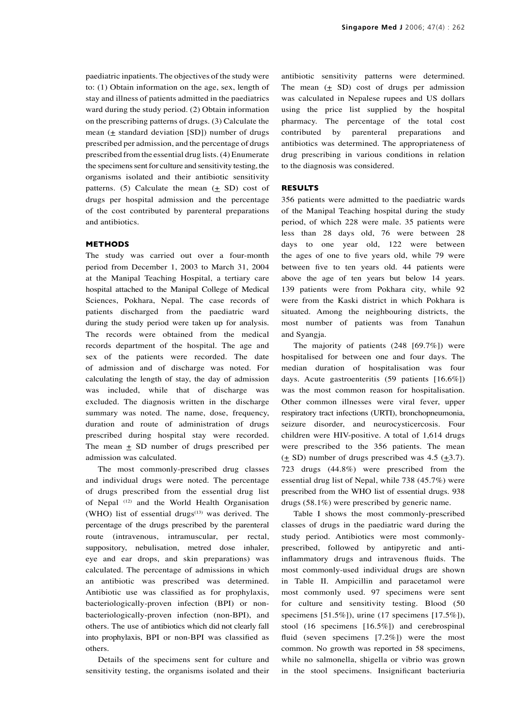paediatric inpatients. The objectives of the study were to: (1) Obtain information on the age, sex, length of stay and illness of patients admitted in the paediatrics ward during the study period. (2) Obtain information on the prescribing patterns of drugs. (3) Calculate the mean ( $\pm$  standard deviation [SD]) number of drugs prescribed per admission, and the percentage of drugs prescribed from the essential drug lists. (4) Enumerate the specimens sent for culture and sensitivity testing, the organisms isolated and their antibiotic sensitivity patterns. (5) Calculate the mean  $(\pm SD)$  cost of drugs per hospital admission and the percentage of the cost contributed by parenteral preparations and antibiotics.

## **METHODS**

The study was carried out over a four-month period from December 1, 2003 to March 31, 2004 at the Manipal Teaching Hospital, a tertiary care hospital attached to the Manipal College of Medical Sciences, Pokhara, Nepal. The case records of patients discharged from the paediatric ward during the study period were taken up for analysis. The records were obtained from the medical records department of the hospital. The age and sex of the patients were recorded. The date of admission and of discharge was noted. For calculating the length of stay, the day of admission was included, while that of discharge was excluded. The diagnosis written in the discharge summary was noted. The name, dose, frequency, duration and route of administration of drugs prescribed during hospital stay were recorded. The mean  $\pm$  SD number of drugs prescribed per admission was calculated.

The most commonly-prescribed drug classes and individual drugs were noted. The percentage of drugs prescribed from the essential drug list of Nepal (12) and the World Health Organisation (WHO) list of essential drugs $(13)$  was derived. The percentage of the drugs prescribed by the parenteral route (intravenous, intramuscular, per rectal, suppository, nebulisation, metred dose inhaler, eye and ear drops, and skin preparations) was calculated. The percentage of admissions in which an antibiotic was prescribed was determined. Antibiotic use was classified as for prophylaxis, bacteriologically-proven infection (BPI) or nonbacteriologically-proven infection (non-BPI), and others. The use of antibiotics which did not clearly fall into prophylaxis, BPI or non-BPI was classified as others.

Details of the specimens sent for culture and sensitivity testing, the organisms isolated and their antibiotic sensitivity patterns were determined. The mean  $(± SD)$  cost of drugs per admission was calculated in Nepalese rupees and US dollars using the price list supplied by the hospital pharmacy. The percentage of the total cost contributed by parenteral preparations and antibiotics was determined. The appropriateness of drug prescribing in various conditions in relation to the diagnosis was considered.

### **RESULTS**

356 patients were admitted to the paediatric wards of the Manipal Teaching hospital during the study period, of which 228 were male. 35 patients were less than 28 days old, 76 were between 28 days to one year old, 122 were between the ages of one to five years old, while 79 were between five to ten years old. 44 patients were above the age of ten years but below 14 years. 139 patients were from Pokhara city, while 92 were from the Kaski district in which Pokhara is situated. Among the neighbouring districts, the most number of patients was from Tanahun and Syangja.

The majority of patients (248 [69.7%]) were hospitalised for between one and four days. The median duration of hospitalisation was four days. Acute gastroenteritis (59 patients [16.6%]) was the most common reason for hospitalisation. Other common illnesses were viral fever, upper respiratory tract infections (URTI), bronchopneumonia, seizure disorder, and neurocysticercosis. Four children were HIV-positive. A total of 1,614 drugs were prescribed to the 356 patients. The mean  $(\pm S D)$  number of drugs prescribed was 4.5  $(\pm 3.7)$ . 723 drugs (44.8%) were prescribed from the essential drug list of Nepal, while 738 (45.7%) were prescribed from the WHO list of essential drugs. 938 drugs (58.1%) were prescribed by generic name.

Table I shows the most commonly-prescribed classes of drugs in the paediatric ward during the study period. Antibiotics were most commonlyprescribed, followed by antipyretic and antiinflammatory drugs and intravenous fluids. The most commonly-used individual drugs are shown in Table II. Ampicillin and paracetamol were most commonly used. 97 specimens were sent for culture and sensitivity testing. Blood (50 specimens [51.5%]), urine (17 specimens [17.5%]), stool (16 specimens [16.5%]) and cerebrospinal fluid (seven specimens [7.2%]) were the most common. No growth was reported in 58 specimens, while no salmonella, shigella or vibrio was grown in the stool specimens. Insignificant bacteriuria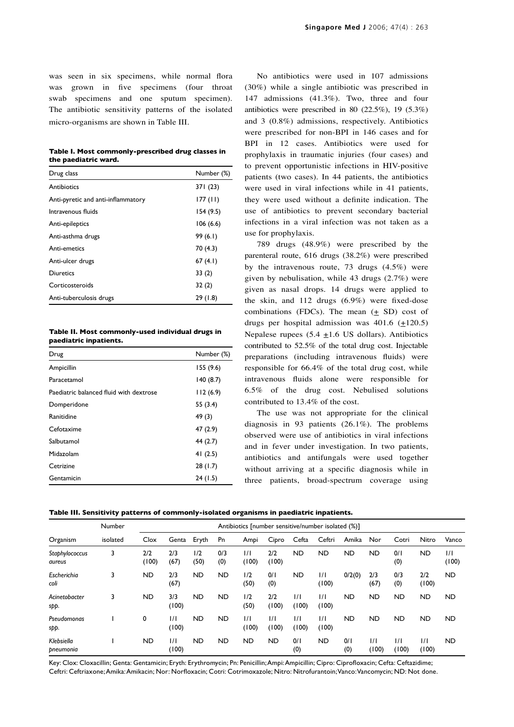was seen in six specimens, while normal flora was grown in five specimens (four throat swab specimens and one sputum specimen). The antibiotic sensitivity patterns of the isolated micro-organisms are shown in Table III.

|                      | Table I. Most commonly-prescribed drug classes in |
|----------------------|---------------------------------------------------|
| the paediatric ward. |                                                   |

| Drug class                         | Number (%) |
|------------------------------------|------------|
| Antibiotics                        | 371 (23)   |
| Anti-pyretic and anti-inflammatory | 177 (11)   |
| Intravenous fluids                 | 154(9.5)   |
| Anti-epileptics                    | 106(6.6)   |
| Anti-asthma drugs                  | 99(6.1)    |
| Anti-emetics                       | 70 (4.3)   |
| Anti-ulcer drugs                   | 67(4.1)    |
| Diuretics                          | 33(2)      |
| Corticosteroids                    | 32(2)      |
| Anti-tuberculosis drugs            | 29 (1.8)   |

**Table II. Most commonly-used individual drugs in paediatric inpatients.**

| Drug                                    | Number (%) |
|-----------------------------------------|------------|
| Ampicillin                              | 155(9.6)   |
| Paracetamol                             | 140(8.7)   |
| Paediatric balanced fluid with dextrose | 112(6.9)   |
| Domperidone                             | 55 (3.4)   |
| Ranitidine                              | 49 (3)     |
| Cefotaxime                              | 47 (2.9)   |
| Salbutamol                              | 44 (2.7)   |
| Midazolam                               | 41 $(2.5)$ |
| Cetrizine                               | 28(1.7)    |
| Gentamicin                              | 24(1.5)    |

No antibiotics were used in 107 admissions (30%) while a single antibiotic was prescribed in 147 admissions (41.3%). Two, three and four antibiotics were prescribed in 80 (22.5%), 19 (5.3%) and 3 (0.8%) admissions, respectively. Antibiotics were prescribed for non-BPI in 146 cases and for BPI in 12 cases. Antibiotics were used for prophylaxis in traumatic injuries (four cases) and to prevent opportunistic infections in HIV-positive patients (two cases). In 44 patients, the antibiotics were used in viral infections while in 41 patients, they were used without a definite indication. The use of antibiotics to prevent secondary bacterial infections in a viral infection was not taken as a use for prophylaxis.

789 drugs (48.9%) were prescribed by the parenteral route, 616 drugs (38.2%) were prescribed by the intravenous route, 73 drugs (4.5%) were given by nebulisation, while 43 drugs (2.7%) were given as nasal drops. 14 drugs were applied to the skin, and 112 drugs (6.9%) were fixed-dose combinations (FDCs). The mean  $( \pm SD )$  cost of drugs per hospital admission was  $401.6$  ( $\pm$ 120.5) Nepalese rupees  $(5.4 \pm 1.6 \text{ US dollars})$ . Antibiotics contributed to 52.5% of the total drug cost. Injectable preparations (including intravenous fluids) were responsible for 66.4% of the total drug cost, while intravenous fluids alone were responsible for 6.5% of the drug cost. Nebulised solutions contributed to 13.4% of the cost.

The use was not appropriate for the clinical diagnosis in 93 patients (26.1%). The problems observed were use of antibiotics in viral infections and in fever under investigation. In two patients, antibiotics and antifungals were used together without arriving at a specific diagnosis while in three patients, broad-spectrum coverage using

|                          | Number   |              | Antibiotics [number sensitive/number isolated (%)] |             |            |              |                        |                        |              |            |                        |                        |                        |              |
|--------------------------|----------|--------------|----------------------------------------------------|-------------|------------|--------------|------------------------|------------------------|--------------|------------|------------------------|------------------------|------------------------|--------------|
| Organism                 | isolated | Clox         | Genta                                              | Eryth       | Pn         | Ampi         | Cipro                  | Cefta                  | Ceftri       | Amika      | Nor                    | Cotri                  | Nitro                  | Vanco        |
| Staphylococcus<br>aureus | 3        | 2/2<br>(100) | 2/3<br>(67)                                        | 1/2<br>(50) | 0/3<br>(0) | 1/1<br>(100) | 2/2<br>(100)           | <b>ND</b>              | <b>ND</b>    | <b>ND</b>  | <b>ND</b>              | 0/1<br>(0)             | <b>ND</b>              | 1/1<br>(100) |
| Escherichia<br>coli      | 3        | <b>ND</b>    | 2/3<br>(67)                                        | <b>ND</b>   | <b>ND</b>  | 1/2<br>(50)  | 0/1<br>(0)             | ND                     | 1/1<br>(100) | 0/2(0)     | 2/3<br>(67)            | 0/3<br>(0)             | 2/2<br>(100)           | <b>ND</b>    |
| Acinetobacter<br>spp.    | 3        | <b>ND</b>    | 3/3<br>(100)                                       | <b>ND</b>   | <b>ND</b>  | 1/2<br>(50)  | 2/2<br>(100)           | 1/1<br>(100)           | 1/1<br>(100) | <b>ND</b>  | <b>ND</b>              | <b>ND</b>              | <b>ND</b>              | <b>ND</b>    |
| Pseudomonas<br>spp.      |          | 0            | 1/1<br>(100)                                       | <b>ND</b>   | <b>ND</b>  | 1/1<br>(100) | $\frac{1}{1}$<br>(100) | $\frac{1}{1}$<br>(100) | 1/1<br>(100) | <b>ND</b>  | <b>ND</b>              | <b>ND</b>              | <b>ND</b>              | <b>ND</b>    |
| Klebsiella<br>pneumonia  |          | <b>ND</b>    | 1/1<br>(100)                                       | <b>ND</b>   | <b>ND</b>  | <b>ND</b>    | <b>ND</b>              | 0/1<br>(0)             | <b>ND</b>    | 0/1<br>(0) | $\frac{1}{1}$<br>(100) | $\frac{1}{1}$<br>(100) | $\frac{1}{1}$<br>(100) | <b>ND</b>    |

Key: Clox: Cloxacillin; Genta: Gentamicin; Eryth: Erythromycin; Pn: Penicillin; Ampi: Ampicillin; Cipro: Ciprofloxacin; Cefta: Ceftazidime; Ceftri: Ceftriaxone; Amika: Amikacin; Nor: Norfloxacin; Cotri: Cotrimoxazole; Nitro: Nitrofurantoin; Vanco: Vancomycin; ND: Not done.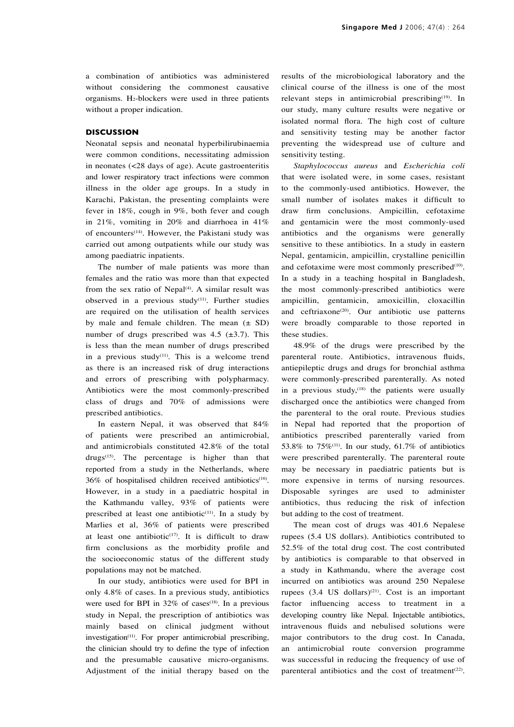a combination of antibiotics was administered without considering the commonest causative organisms. H2-blockers were used in three patients without a proper indication.

# **DISCUSSION**

Neonatal sepsis and neonatal hyperbilirubinaemia were common conditions, necessitating admission in neonates (<28 days of age). Acute gastroenteritis and lower respiratory tract infections were common illness in the older age groups. In a study in Karachi, Pakistan, the presenting complaints were fever in 18%, cough in 9%, both fever and cough in 21%, vomiting in 20% and diarrhoea in 41% of encounters<sup>(14)</sup>. However, the Pakistani study was carried out among outpatients while our study was among paediatric inpatients.

The number of male patients was more than females and the ratio was more than that expected from the sex ratio of Nepal $(4)$ . A similar result was observed in a previous study<sup>(11)</sup>. Further studies are required on the utilisation of health services by male and female children. The mean  $(\pm SD)$ number of drugs prescribed was  $4.5$  ( $\pm 3.7$ ). This is less than the mean number of drugs prescribed in a previous study<sup>(11)</sup>. This is a welcome trend as there is an increased risk of drug interactions and errors of prescribing with polypharmacy. Antibiotics were the most commonly-prescribed class of drugs and 70% of admissions were prescribed antibiotics.

In eastern Nepal, it was observed that 84% of patients were prescribed an antimicrobial, and antimicrobials constituted 42.8% of the total drugs(15). The percentage is higher than that reported from a study in the Netherlands, where 36% of hospitalised children received antibiotics<sup>(16)</sup>. However, in a study in a paediatric hospital in the Kathmandu valley, 93% of patients were prescribed at least one antibiotic $(11)$ . In a study by Marlies et al, 36% of patients were prescribed at least one antibiotic $(17)$ . It is difficult to draw firm conclusions as the morbidity profile and the socioeconomic status of the different study populations may not be matched.

In our study, antibiotics were used for BPI in only 4.8% of cases. In a previous study, antibiotics were used for BPI in  $32\%$  of cases<sup>(18)</sup>. In a previous study in Nepal, the prescription of antibiotics was mainly based on clinical judgment without investigation<sup>(11)</sup>. For proper antimicrobial prescribing, the clinician should try to define the type of infection and the presumable causative micro-organisms. Adjustment of the initial therapy based on the

results of the microbiological laboratory and the clinical course of the illness is one of the most relevant steps in antimicrobial prescribing<sup>(19)</sup>. In our study, many culture results were negative or isolated normal flora. The high cost of culture and sensitivity testing may be another factor preventing the widespread use of culture and sensitivity testing.

*Staphylococcus aureus* and *Escherichia coli* that were isolated were, in some cases, resistant to the commonly-used antibiotics. However, the small number of isolates makes it difficult to draw firm conclusions. Ampicillin, cefotaxime and gentamicin were the most commonly-used antibiotics and the organisms were generally sensitive to these antibiotics. In a study in eastern Nepal, gentamicin, ampicillin, crystalline penicillin and cefotaxime were most commonly prescribed $(10)$ . In a study in a teaching hospital in Bangladesh, the most commonly-prescribed antibiotics were ampicillin, gentamicin, amoxicillin, cloxacillin and ceftriaxone<sup>(20)</sup>. Our antibiotic use patterns were broadly comparable to those reported in these studies.

48.9% of the drugs were prescribed by the parenteral route. Antibiotics, intravenous fluids, antiepileptic drugs and drugs for bronchial asthma were commonly-prescribed parenterally. As noted in a previous study, $(18)$  the patients were usually discharged once the antibiotics were changed from the parenteral to the oral route. Previous studies in Nepal had reported that the proportion of antibiotics prescribed parenterally varied from 53.8% to  $75\%$ <sup>(11)</sup>. In our study, 61.7% of antibiotics were prescribed parenterally. The parenteral route may be necessary in paediatric patients but is more expensive in terms of nursing resources. Disposable syringes are used to administer antibiotics, thus reducing the risk of infection but adding to the cost of treatment.

The mean cost of drugs was 401.6 Nepalese rupees (5.4 US dollars). Antibiotics contributed to 52.5% of the total drug cost. The cost contributed by antibiotics is comparable to that observed in a study in Kathmandu, where the average cost incurred on antibiotics was around 250 Nepalese rupees  $(3.4 \text{ US dollars})^{(21)}$ . Cost is an important factor influencing access to treatment in a developing country like Nepal. Injectable antibiotics, intravenous fluids and nebulised solutions were major contributors to the drug cost. In Canada, an antimicrobial route conversion programme was successful in reducing the frequency of use of parenteral antibiotics and the cost of treatment<sup>(22)</sup>.